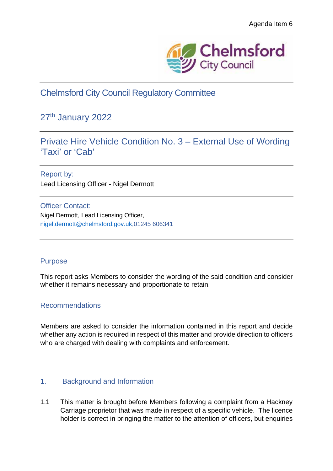

Chelmsford City Council Regulatory Committee

# 27<sup>th</sup> January 2022

# Private Hire Vehicle Condition No. 3 – External Use of Wording 'Taxi' or 'Cab'

Report by: Lead Licensing Officer - Nigel Dermott

Officer Contact: Nigel Dermott, Lead Licensing Officer, nigel.dermott@chelmsford.gov.uk,01245 606341

## Purpose

This report asks Members to consider the wording of the said condition and consider whether it remains necessary and proportionate to retain.

## Recommendations

Members are asked to consider the information contained in this report and decide whether any action is required in respect of this matter and provide direction to officers who are charged with dealing with complaints and enforcement.

## 1. Background and Information

1.1 This matter is brought before Members following a complaint from a Hackney Carriage proprietor that was made in respect of a specific vehicle. The licence holder is correct in bringing the matter to the attention of officers, but enquiries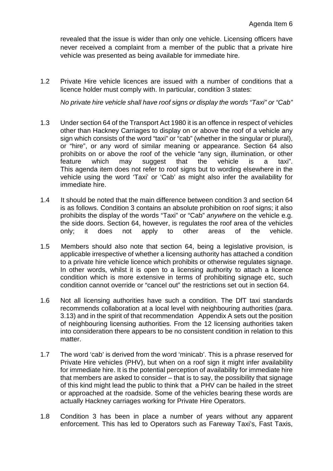revealed that the issue is wider than only one vehicle. Licensing officers have never received a complaint from a member of the public that a private hire vehicle was presented as being available for immediate hire.

1.2 Private Hire vehicle licences are issued with a number of conditions that a licence holder must comply with. In particular, condition 3 states:

*No private hire vehicle shall have roof signs or display the words "Taxi" or "Cab"*

- 1.3 Under section 64 of the Transport Act 1980 it is an offence in respect of vehicles other than Hackney Carriages to display on or above the roof of a vehicle any sign which consists of the word "taxi" or "cab" (whether in the singular or plural), or "hire", or any word of similar meaning or appearance. Section 64 also prohibits on or above the roof of the vehicle "any sign, illumination, or other feature which may suggest that the vehicle is a taxi". This agenda item does not refer to roof signs but to wording elsewhere in the vehicle using the word 'Taxi' or 'Cab' as might also infer the availability for immediate hire.
- 1.4 It should be noted that the main difference between condition 3 and section 64 is as follows. Condition 3 contains an absolute prohibition on roof signs; it also prohibits the display of the words "Taxi" or "Cab" *anywhere* on the vehicle e.g. the side doors. Section 64, however, is regulates the roof area of the vehicles only; it does not apply to other areas of the vehicle.
- 1.5 Members should also note that section 64, being a legislative provision, is applicable irrespective of whether a licensing authority has attached a condition to a private hire vehicle licence which prohibits or otherwise regulates signage. In other words, whilst it is open to a licensing authority to attach a licence condition which is more extensive in terms of prohibiting signage etc, such condition cannot override or "cancel out" the restrictions set out in section 64.
- 1.6 Not all licensing authorities have such a condition. The DfT taxi standards recommends collaboration at a local level with neighbouring authorities (para. 3.13) and in the spirit of that recommendation Appendix A sets out the position of neighbouring licensing authorities. From the 12 licensing authorities taken into consideration there appears to be no consistent condition in relation to this matter.
- 1.7 The word 'cab' is derived from the word 'minicab'. This is a phrase reserved for Private Hire vehicles (PHV), but when on a roof sign it might infer availability for immediate hire. It is the potential perception of availability for immediate hire that members are asked to consider – that is to say, the possibility that signage of this kind might lead the public to think that a PHV can be hailed in the street or approached at the roadside. Some of the vehicles bearing these words are actually Hackney carriages working for Private Hire Operators.
- 1.8 Condition 3 has been in place a number of years without any apparent enforcement. This has led to Operators such as Fareway Taxi's, Fast Taxis,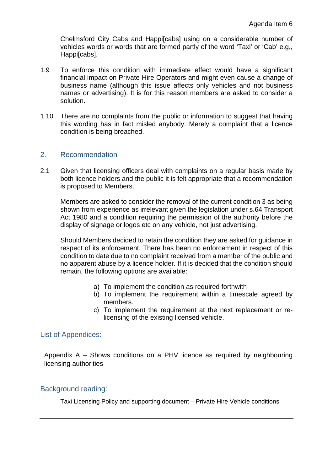Chelmsford City Cabs and Happi[cabs] using on a considerable number of vehicles words or words that are formed partly of the word 'Taxi' or 'Cab' e.g., Happi[cabs].

- 1.9 To enforce this condition with immediate effect would have a significant financial impact on Private Hire Operators and might even cause a change of business name (although this issue affects only vehicles and not business names or advertising). It is for this reason members are asked to consider a solution.
- 1.10 There are no complaints from the public or information to suggest that having this wording has in fact misled anybody. Merely a complaint that a licence condition is being breached.

## 2. Recommendation

2.1 Given that licensing officers deal with complaints on a regular basis made by both licence holders and the public it is felt appropriate that a recommendation is proposed to Members.

Members are asked to consider the removal of the current condition 3 as being shown from experience as irrelevant given the legislation under s.64 Transport Act 1980 and a condition requiring the permission of the authority before the display of signage or logos etc on any vehicle, not just advertising.

Should Members decided to retain the condition they are asked for guidance in respect of its enforcement. There has been no enforcement in respect of this condition to date due to no complaint received from a member of the public and no apparent abuse by a licence holder. If it is decided that the condition should remain, the following options are available:

- a) To implement the condition as required forthwith
- b) To implement the requirement within a timescale agreed by members.
- c) To implement the requirement at the next replacement or relicensing of the existing licensed vehicle.

#### List of Appendices:

Appendix A – Shows conditions on a PHV licence as required by neighbouring licensing authorities

#### Background reading:

Taxi Licensing Policy and supporting document – Private Hire Vehicle conditions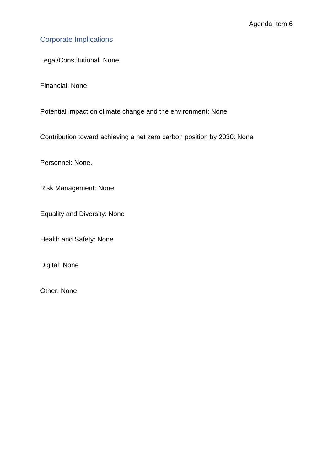# Corporate Implications

Legal/Constitutional: None

Financial: None

Potential impact on climate change and the environment: None

Contribution toward achieving a net zero carbon position by 2030: None

Personnel: None.

Risk Management: None

Equality and Diversity: None

Health and Safety: None

Digital: None

Other: None